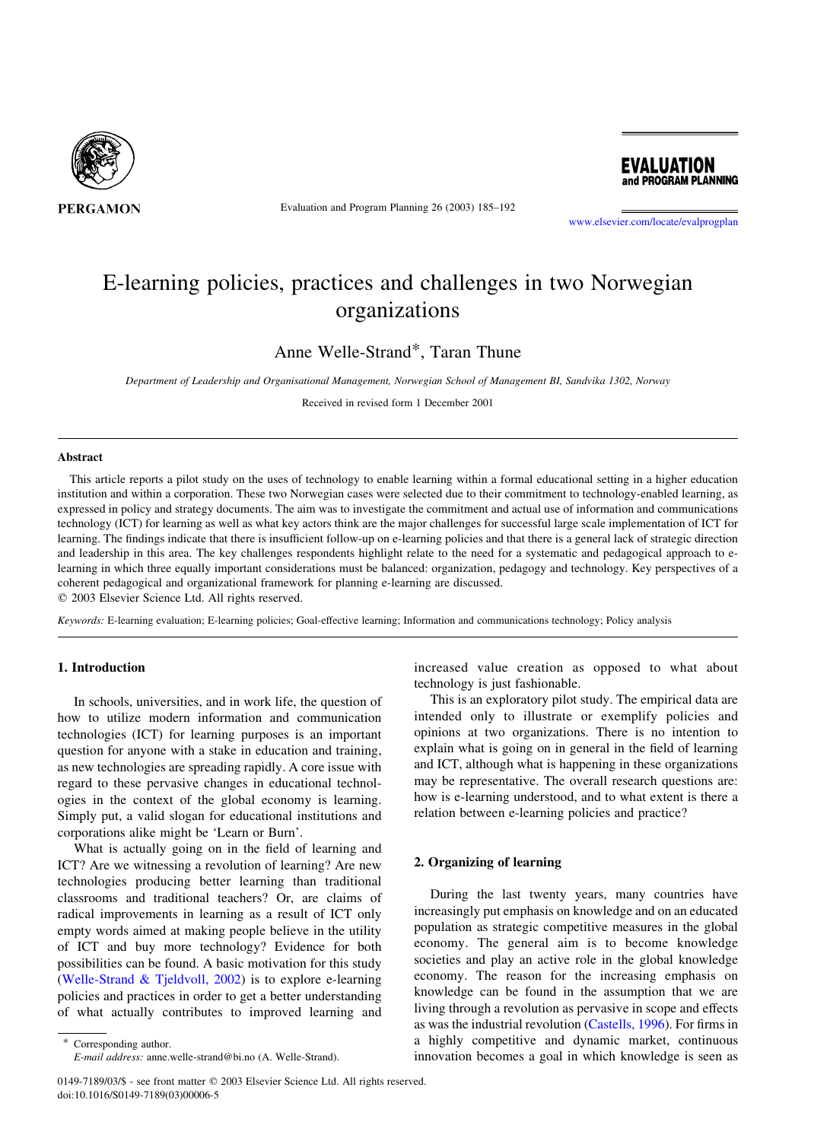

Evaluation and Program Planning 26 (2003) 185–192



[www.elsevier.com/locate/evalprogplan](http://www.elsevier.com/locate/evalprogplan)

## E-learning policies, practices and challenges in two Norwegian organizations

Anne Welle-Strand\*, Taran Thune

Department of Leadership and Organisational Management, Norwegian School of Management BI, Sandvika 1302, Norway

Received in revised form 1 December 2001

### Abstract

This article reports a pilot study on the uses of technology to enable learning within a formal educational setting in a higher education institution and within a corporation. These two Norwegian cases were selected due to their commitment to technology-enabled learning, as expressed in policy and strategy documents. The aim was to investigate the commitment and actual use of information and communications technology (ICT) for learning as well as what key actors think are the major challenges for successful large scale implementation of ICT for learning. The findings indicate that there is insufficient follow-up on e-learning policies and that there is a general lack of strategic direction and leadership in this area. The key challenges respondents highlight relate to the need for a systematic and pedagogical approach to elearning in which three equally important considerations must be balanced: organization, pedagogy and technology. Key perspectives of a coherent pedagogical and organizational framework for planning e-learning are discussed.

 $© 2003 Elsevier Science Ltd. All rights reserved.$ 

Keywords: E-learning evaluation; E-learning policies; Goal-effective learning; Information and communications technology; Policy analysis

### 1. Introduction

In schools, universities, and in work life, the question of how to utilize modern information and communication technologies (ICT) for learning purposes is an important question for anyone with a stake in education and training, as new technologies are spreading rapidly. A core issue with regard to these pervasive changes in educational technologies in the context of the global economy is learning. Simply put, a valid slogan for educational institutions and corporations alike might be 'Learn or Burn'.

What is actually going on in the field of learning and ICT? Are we witnessing a revolution of learning? Are new technologies producing better learning than traditional classrooms and traditional teachers? Or, are claims of radical improvements in learning as a result of ICT only empty words aimed at making people believe in the utility of ICT and buy more technology? Evidence for both possibilities can be found. A basic motivation for this study ([Welle-Strand & Tjeldvoll, 2002\)](#page--1-0) is to explore e-learning policies and practices in order to get a better understanding of what actually contributes to improved learning and

increased value creation as opposed to what about technology is just fashionable.

This is an exploratory pilot study. The empirical data are intended only to illustrate or exemplify policies and opinions at two organizations. There is no intention to explain what is going on in general in the field of learning and ICT, although what is happening in these organizations may be representative. The overall research questions are: how is e-learning understood, and to what extent is there a relation between e-learning policies and practice?

### 2. Organizing of learning

During the last twenty years, many countries have increasingly put emphasis on knowledge and on an educated population as strategic competitive measures in the global economy. The general aim is to become knowledge societies and play an active role in the global knowledge economy. The reason for the increasing emphasis on knowledge can be found in the assumption that we are living through a revolution as pervasive in scope and effects as was the industrial revolution [\(Castells, 1996\)](#page--1-0). For firms in a highly competitive and dynamic market, continuous innovation becomes a goal in which knowledge is seen as

Corresponding author. E-mail address: anne.welle-strand@bi.no (A. Welle-Strand).

<sup>0149-7189/03/\$ -</sup> see front matter © 2003 Elsevier Science Ltd. All rights reserved. doi:10.1016/S0149-7189(03)00006-5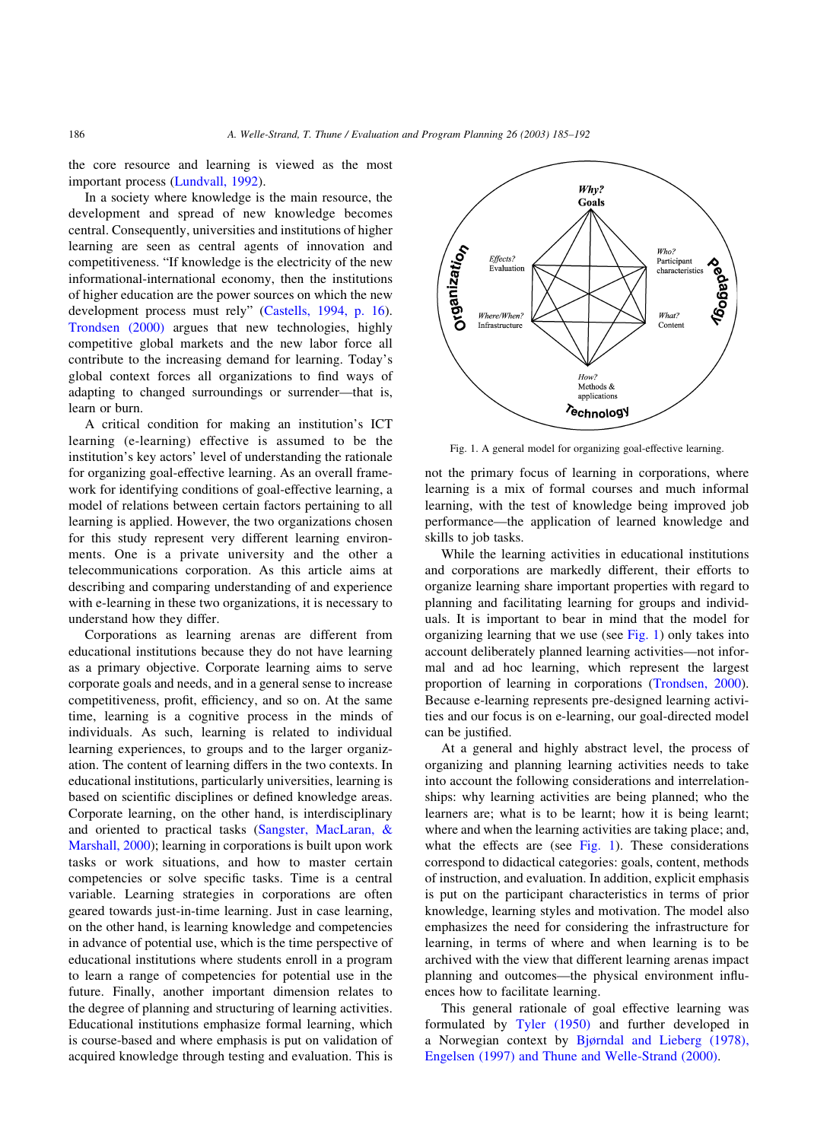the core resource and learning is viewed as the most important process ([Lundvall, 1992](#page--1-0)).

In a society where knowledge is the main resource, the development and spread of new knowledge becomes central. Consequently, universities and institutions of higher learning are seen as central agents of innovation and competitiveness. "If knowledge is the electricity of the new informational-international economy, then the institutions of higher education are the power sources on which the new development process must rely" ([Castells, 1994, p. 16\)](#page--1-0). [Trondsen \(2000\)](#page--1-0) argues that new technologies, highly competitive global markets and the new labor force all contribute to the increasing demand for learning. Today's global context forces all organizations to find ways of adapting to changed surroundings or surrender—that is, learn or burn.

A critical condition for making an institution's ICT learning (e-learning) effective is assumed to be the institution's key actors' level of understanding the rationale for organizing goal-effective learning. As an overall framework for identifying conditions of goal-effective learning, a model of relations between certain factors pertaining to all learning is applied. However, the two organizations chosen for this study represent very different learning environments. One is a private university and the other a telecommunications corporation. As this article aims at describing and comparing understanding of and experience with e-learning in these two organizations, it is necessary to understand how they differ.

Corporations as learning arenas are different from educational institutions because they do not have learning as a primary objective. Corporate learning aims to serve corporate goals and needs, and in a general sense to increase competitiveness, profit, efficiency, and so on. At the same time, learning is a cognitive process in the minds of individuals. As such, learning is related to individual learning experiences, to groups and to the larger organization. The content of learning differs in the two contexts. In educational institutions, particularly universities, learning is based on scientific disciplines or defined knowledge areas. Corporate learning, on the other hand, is interdisciplinary and oriented to practical tasks ([Sangster, MacLaran, &](#page--1-0) [Marshall, 2000](#page--1-0)); learning in corporations is built upon work tasks or work situations, and how to master certain competencies or solve specific tasks. Time is a central variable. Learning strategies in corporations are often geared towards just-in-time learning. Just in case learning, on the other hand, is learning knowledge and competencies in advance of potential use, which is the time perspective of educational institutions where students enroll in a program to learn a range of competencies for potential use in the future. Finally, another important dimension relates to the degree of planning and structuring of learning activities. Educational institutions emphasize formal learning, which is course-based and where emphasis is put on validation of acquired knowledge through testing and evaluation. This is



Fig. 1. A general model for organizing goal-effective learning.

not the primary focus of learning in corporations, where learning is a mix of formal courses and much informal learning, with the test of knowledge being improved job performance—the application of learned knowledge and skills to job tasks.

While the learning activities in educational institutions and corporations are markedly different, their efforts to organize learning share important properties with regard to planning and facilitating learning for groups and individuals. It is important to bear in mind that the model for organizing learning that we use (see Fig. 1) only takes into account deliberately planned learning activities—not informal and ad hoc learning, which represent the largest proportion of learning in corporations ([Trondsen, 2000\)](#page--1-0). Because e-learning represents pre-designed learning activities and our focus is on e-learning, our goal-directed model can be justified.

At a general and highly abstract level, the process of organizing and planning learning activities needs to take into account the following considerations and interrelationships: why learning activities are being planned; who the learners are; what is to be learnt; how it is being learnt; where and when the learning activities are taking place; and, what the effects are (see Fig. 1). These considerations correspond to didactical categories: goals, content, methods of instruction, and evaluation. In addition, explicit emphasis is put on the participant characteristics in terms of prior knowledge, learning styles and motivation. The model also emphasizes the need for considering the infrastructure for learning, in terms of where and when learning is to be archived with the view that different learning arenas impact planning and outcomes—the physical environment influences how to facilitate learning.

This general rationale of goal effective learning was formulated by [Tyler \(1950\)](#page--1-0) and further developed in a Norwegian context by [Bjørndal and Lieberg \(1978\),](#page--1-0) [Engelsen \(1997\) and Thune and Welle-Strand \(2000\)](#page--1-0).